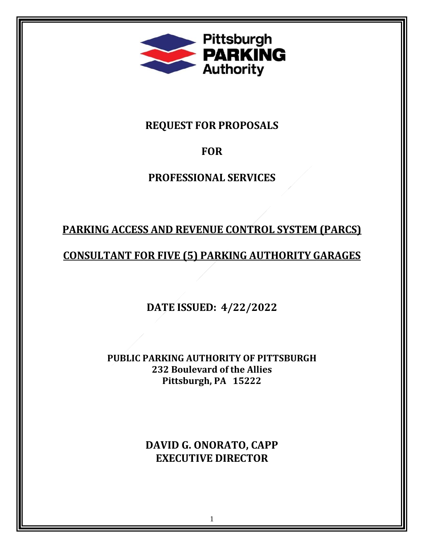

**REQUEST FOR PROPOSALS** 

# **FOR**

# **PROFESSIONAL SERVICES**

# **PARKING ACCESS AND REVENUE CONTROL SYSTEM (PARCS)**

# **CONSULTANT FOR FIVE (5) PARKING AUTHORITY GARAGES**

**DATE ISSUED: 4/22/2022**

**PUBLIC PARKING AUTHORITY OF PITTSBURGH 232 Boulevard of the Allies Pittsburgh, PA 15222**

> **DAVID G. ONORATO, CAPP EXECUTIVE DIRECTOR**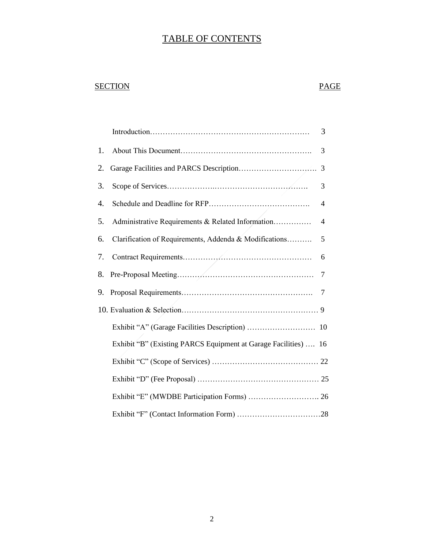# TABLE OF CONTENTS

# SECTION PAGE

|    |                                                                 | 3 |
|----|-----------------------------------------------------------------|---|
| 1. |                                                                 | 3 |
| 2. |                                                                 | 3 |
| 3. |                                                                 | 3 |
| 4. |                                                                 | 4 |
| 5. | Administrative Requirements & Related Information               | 4 |
| 6. | Clarification of Requirements, Addenda & Modifications          | 5 |
| 7. |                                                                 | 6 |
| 8. |                                                                 | 7 |
| 9. |                                                                 | 7 |
|    |                                                                 |   |
|    |                                                                 |   |
|    | Exhibit "B" (Existing PARCS Equipment at Garage Facilities)  16 |   |
|    |                                                                 |   |
|    |                                                                 |   |
|    |                                                                 |   |
|    |                                                                 |   |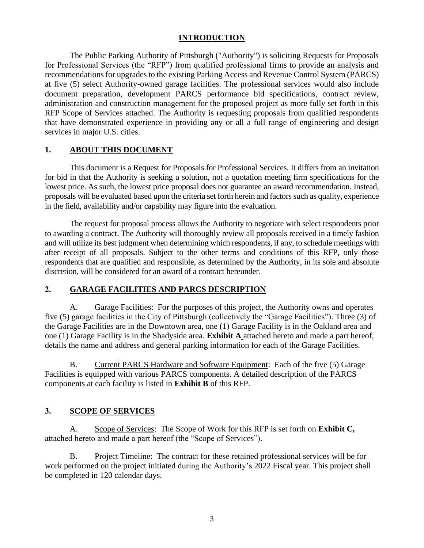#### **INTRODUCTION**

The Public Parking Authority of Pittsburgh ("Authority") is soliciting Requests for Proposals for Professional Services (the "RFP") from qualified professional firms to provide an analysis and recommendations for upgrades to the existing Parking Access and Revenue Control System (PARCS) at five (5) select Authority-owned garage facilities. The professional services would also include document preparation, development PARCS performance bid specifications, contract review, administration and construction management for the proposed project as more fully set forth in this RFP Scope of Services attached. The Authority is requesting proposals from qualified respondents that have demonstrated experience in providing any or all a full range of engineering and design services in major U.S. cities.

#### **1. ABOUT THIS DOCUMENT**

This document is a Request for Proposals for Professional Services. It differs from an invitation for bid in that the Authority is seeking a solution, not a quotation meeting firm specifications for the lowest price. As such, the lowest price proposal does not guarantee an award recommendation. Instead, proposals will be evaluated based upon the criteria set forth herein and factors such as quality, experience in the field, availability and/or capability may figure into the evaluation.

The request for proposal process allows the Authority to negotiate with select respondents prior to awarding a contract. The Authority will thoroughly review all proposals received in a timely fashion and will utilize its best judgment when determining which respondents, if any, to schedule meetings with after receipt of all proposals. Subject to the other terms and conditions of this RFP, only those respondents that are qualified and responsible, as determined by the Authority, in its sole and absolute discretion, will be considered for an award of a contract hereunder.

#### **2. GARAGE FACILITIES AND PARCS DESCRIPTION**

A. Garage Facilities: For the purposes of this project, the Authority owns and operates five (5) garage facilities in the City of Pittsburgh (collectively the "Garage Facilities"). Three (3) of the Garage Facilities are in the Downtown area, one (1) Garage Facility is in the Oakland area and one (1) Garage Facility is in the Shadyside area. **Exhibit A** attached hereto and made a part hereof, details the name and address and general parking information for each of the Garage Facilities.

B. Current PARCS Hardware and Software Equipment: Each of the five (5) Garage Facilities is equipped with various PARCS components. A detailed description of the PARCS components at each facility is listed in **Exhibit B** of this RFP.

#### **3. SCOPE OF SERVICES**

A. Scope of Services: The Scope of Work for this RFP is set forth on **Exhibit C,** attached hereto and made a part hereof (the "Scope of Services").

B. Project Timeline: The contract for these retained professional services will be for work performed on the project initiated during the Authority's 2022 Fiscal year. This project shall be completed in 120 calendar days.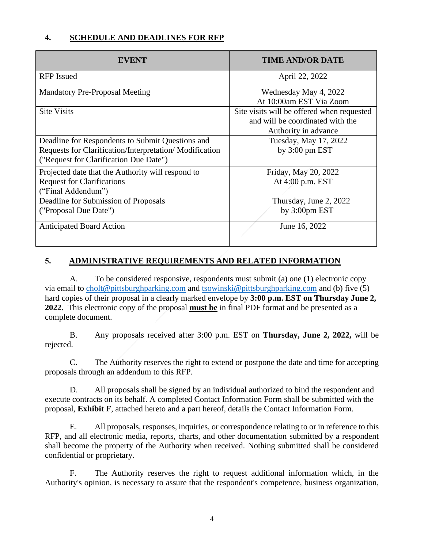## **4. SCHEDULE AND DEADLINES FOR RFP**

| EVENT                                                  | <b>TIME AND/OR DATE</b>                    |
|--------------------------------------------------------|--------------------------------------------|
| <b>RFP</b> Issued                                      | April 22, 2022                             |
| <b>Mandatory Pre-Proposal Meeting</b>                  | Wednesday May 4, 2022                      |
|                                                        | At 10:00am EST Via Zoom                    |
| <b>Site Visits</b>                                     | Site visits will be offered when requested |
|                                                        | and will be coordinated with the           |
|                                                        | Authority in advance                       |
| Deadline for Respondents to Submit Questions and       | Tuesday, May 17, 2022                      |
| Requests for Clarification/Interpretation/Modification | by $3:00 \text{ pm } EST$                  |
| ("Request for Clarification Due Date")                 |                                            |
| Projected date that the Authority will respond to      | Friday, May 20, 2022                       |
| <b>Request for Clarifications</b>                      | At 4:00 p.m. EST                           |
| ("Final Addendum")                                     |                                            |
| Deadline for Submission of Proposals                   | Thursday, June 2, 2022                     |
| ("Proposal Due Date")                                  | by 3:00pm EST                              |
| <b>Anticipated Board Action</b>                        | June 16, 2022                              |

## **5. ADMINISTRATIVE REQUIREMENTS AND RELATED INFORMATION**

A. To be considered responsive, respondents must submit (a) one (1) electronic copy via email to [cholt@pittsburghparking.com](mailto:cholt@pittsburghparking.com) and [tsowinski@pittsburghparking.com](mailto:tsowinski@pittsburghparking.com) and (b) five (5) hard copies of their proposal in a clearly marked envelope by **3:00 p.m. EST on Thursday June 2, 2022.** This electronic copy of the proposal **must be** in final PDF format and be presented as a complete document.

B. Any proposals received after 3:00 p.m. EST on **Thursday, June 2, 2022,** will be rejected.

C. The Authority reserves the right to extend or postpone the date and time for accepting proposals through an addendum to this RFP.

D. All proposals shall be signed by an individual authorized to bind the respondent and execute contracts on its behalf. A completed Contact Information Form shall be submitted with the proposal, **Exhibit F**, attached hereto and a part hereof, details the Contact Information Form.

E. All proposals, responses, inquiries, or correspondence relating to or in reference to this RFP, and all electronic media, reports, charts, and other documentation submitted by a respondent shall become the property of the Authority when received. Nothing submitted shall be considered confidential or proprietary.

F. The Authority reserves the right to request additional information which, in the Authority's opinion, is necessary to assure that the respondent's competence, business organization,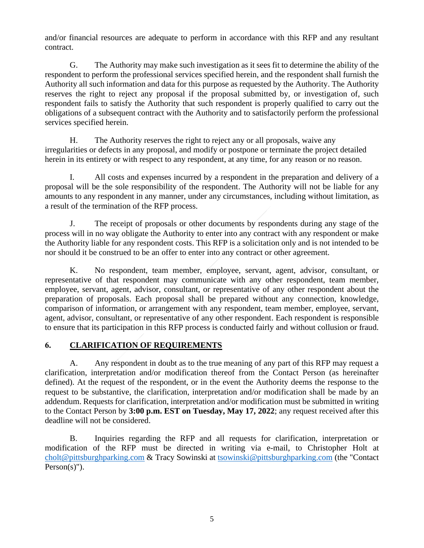and/or financial resources are adequate to perform in accordance with this RFP and any resultant contract.

G. The Authority may make such investigation as it sees fit to determine the ability of the respondent to perform the professional services specified herein, and the respondent shall furnish the Authority all such information and data for this purpose as requested by the Authority. The Authority reserves the right to reject any proposal if the proposal submitted by, or investigation of, such respondent fails to satisfy the Authority that such respondent is properly qualified to carry out the obligations of a subsequent contract with the Authority and to satisfactorily perform the professional services specified herein.

H. The Authority reserves the right to reject any or all proposals, waive any irregularities or defects in any proposal, and modify or postpone or terminate the project detailed herein in its entirety or with respect to any respondent, at any time, for any reason or no reason.

I. All costs and expenses incurred by a respondent in the preparation and delivery of a proposal will be the sole responsibility of the respondent. The Authority will not be liable for any amounts to any respondent in any manner, under any circumstances, including without limitation, as a result of the termination of the RFP process.

J. The receipt of proposals or other documents by respondents during any stage of the process will in no way obligate the Authority to enter into any contract with any respondent or make the Authority liable for any respondent costs. This RFP is a solicitation only and is not intended to be nor should it be construed to be an offer to enter into any contract or other agreement.

K. No respondent, team member, employee, servant, agent, advisor, consultant, or representative of that respondent may communicate with any other respondent, team member, employee, servant, agent, advisor, consultant, or representative of any other respondent about the preparation of proposals. Each proposal shall be prepared without any connection, knowledge, comparison of information, or arrangement with any respondent, team member, employee, servant, agent, advisor, consultant, or representative of any other respondent. Each respondent is responsible to ensure that its participation in this RFP process is conducted fairly and without collusion or fraud.

# **6. CLARIFICATION OF REQUIREMENTS**

A. Any respondent in doubt as to the true meaning of any part of this RFP may request a clarification, interpretation and/or modification thereof from the Contact Person (as hereinafter defined). At the request of the respondent, or in the event the Authority deems the response to the request to be substantive, the clarification, interpretation and/or modification shall be made by an addendum. Requests for clarification, interpretation and/or modification must be submitted in writing to the Contact Person by **3:00 p.m. EST on Tuesday, May 17, 2022**; any request received after this deadline will not be considered.

B. Inquiries regarding the RFP and all requests for clarification, interpretation or modification of the RFP must be directed in writing via e-mail, to Christopher Holt at [cholt@pittsburghparking.com](mailto:cholt@pittsburghparking.com) & Tracy Sowinski at [tsowinski@pittsburghparking.com](mailto:tsowinski@pittsburghparking.com) (the "Contact Person(s)").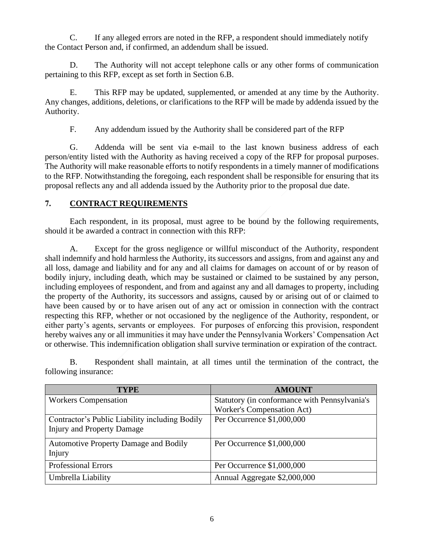C. If any alleged errors are noted in the RFP, a respondent should immediately notify the Contact Person and, if confirmed, an addendum shall be issued.

D. The Authority will not accept telephone calls or any other forms of communication pertaining to this RFP, except as set forth in Section 6.B.

E. This RFP may be updated, supplemented, or amended at any time by the Authority. Any changes, additions, deletions, or clarifications to the RFP will be made by addenda issued by the Authority.

F. Any addendum issued by the Authority shall be considered part of the RFP

G. Addenda will be sent via e-mail to the last known business address of each person/entity listed with the Authority as having received a copy of the RFP for proposal purposes. The Authority will make reasonable efforts to notify respondents in a timely manner of modifications to the RFP. Notwithstanding the foregoing, each respondent shall be responsible for ensuring that its proposal reflects any and all addenda issued by the Authority prior to the proposal due date.

#### **7. CONTRACT REQUIREMENTS**

Each respondent, in its proposal, must agree to be bound by the following requirements, should it be awarded a contract in connection with this RFP:

A. Except for the gross negligence or willful misconduct of the Authority, respondent shall indemnify and hold harmless the Authority, its successors and assigns, from and against any and all loss, damage and liability and for any and all claims for damages on account of or by reason of bodily injury, including death, which may be sustained or claimed to be sustained by any person, including employees of respondent, and from and against any and all damages to property, including the property of the Authority, its successors and assigns, caused by or arising out of or claimed to have been caused by or to have arisen out of any act or omission in connection with the contract respecting this RFP, whether or not occasioned by the negligence of the Authority, respondent, or either party's agents, servants or employees. For purposes of enforcing this provision, respondent hereby waives any or all immunities it may have under the Pennsylvania Workers' Compensation Act or otherwise. This indemnification obligation shall survive termination or expiration of the contract.

B. Respondent shall maintain, at all times until the termination of the contract, the following insurance:

| TYPE                                           | <b>AMOUNT</b>                                 |
|------------------------------------------------|-----------------------------------------------|
| <b>Workers Compensation</b>                    | Statutory (in conformance with Pennsylvania's |
|                                                | <b>Worker's Compensation Act)</b>             |
| Contractor's Public Liability including Bodily | Per Occurrence \$1,000,000                    |
| <b>Injury and Property Damage</b>              |                                               |
| <b>Automotive Property Damage and Bodily</b>   | Per Occurrence \$1,000,000                    |
| Injury                                         |                                               |
| <b>Professional Errors</b>                     | Per Occurrence \$1,000,000                    |
| Umbrella Liability                             | Annual Aggregate \$2,000,000                  |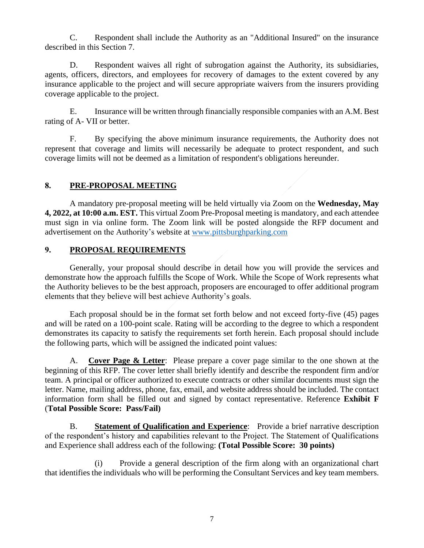C. Respondent shall include the Authority as an "Additional Insured" on the insurance described in this Section 7.

D. Respondent waives all right of subrogation against the Authority, its subsidiaries, agents, officers, directors, and employees for recovery of damages to the extent covered by any insurance applicable to the project and will secure appropriate waivers from the insurers providing coverage applicable to the project.

E. Insurance will be written through financially responsible companies with an A.M. Best rating of A- VII or better.

F. By specifying the above minimum insurance requirements, the Authority does not represent that coverage and limits will necessarily be adequate to protect respondent, and such coverage limits will not be deemed as a limitation of respondent's obligations hereunder.

#### **8. PRE-PROPOSAL MEETING**

A mandatory pre-proposal meeting will be held virtually via Zoom on the **Wednesday, May 4, 2022, at 10:00 a.m. EST.** This virtual Zoom Pre-Proposal meeting is mandatory, and each attendee must sign in via online form. The Zoom link will be posted alongside the RFP document and advertisement on the Authority's website at [www.pittsburghparking.com](http://www.pittsburghparking.com/)

#### **9. PROPOSAL REQUIREMENTS**

Generally, your proposal should describe in detail how you will provide the services and demonstrate how the approach fulfills the Scope of Work. While the Scope of Work represents what the Authority believes to be the best approach, proposers are encouraged to offer additional program elements that they believe will best achieve Authority's goals.

Each proposal should be in the format set forth below and not exceed forty-five (45) pages and will be rated on a 100-point scale. Rating will be according to the degree to which a respondent demonstrates its capacity to satisfy the requirements set forth herein. Each proposal should include the following parts, which will be assigned the indicated point values:

A. **Cover Page & Letter**: Please prepare a cover page similar to the one shown at the beginning of this RFP. The cover letter shall briefly identify and describe the respondent firm and/or team. A principal or officer authorized to execute contracts or other similar documents must sign the letter. Name, mailing address, phone, fax, email, and website address should be included. The contact information form shall be filled out and signed by contact representative. Reference **Exhibit F**  (**Total Possible Score: Pass/Fail)**

B. **Statement of Qualification and Experience**: Provide a brief narrative description of the respondent's history and capabilities relevant to the Project. The Statement of Qualifications and Experience shall address each of the following: **(Total Possible Score: 30 points)**

(i) Provide a general description of the firm along with an organizational chart that identifies the individuals who will be performing the Consultant Services and key team members.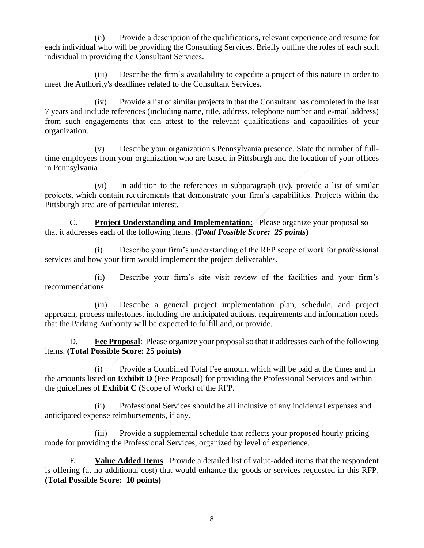(ii) Provide a description of the qualifications, relevant experience and resume for each individual who will be providing the Consulting Services. Briefly outline the roles of each such individual in providing the Consultant Services.

(iii) Describe the firm's availability to expedite a project of this nature in order to meet the Authority's deadlines related to the Consultant Services.

(iv) Provide a list of similar projects in that the Consultant has completed in the last 7 years and include references (including name, title, address, telephone number and e-mail address) from such engagements that can attest to the relevant qualifications and capabilities of your organization.

(v) Describe your organization's Pennsylvania presence. State the number of fulltime employees from your organization who are based in Pittsburgh and the location of your offices in Pennsylvania

(vi) In addition to the references in subparagraph (iv), provide a list of similar projects, which contain requirements that demonstrate your firm's capabilities. Projects within the Pittsburgh area are of particular interest.

C. **Project Understanding and Implementation:** Please organize your proposal so that it addresses each of the following items. **(***Total Possible Score: 25 points***)**

(i) Describe your firm's understanding of the RFP scope of work for professional services and how your firm would implement the project deliverables.

(ii) Describe your firm's site visit review of the facilities and your firm's recommendations.

(iii) Describe a general project implementation plan, schedule, and project approach, process milestones, including the anticipated actions, requirements and information needs that the Parking Authority will be expected to fulfill and, or provide.

D. **Fee Proposal:** Please organize your proposal so that it addresses each of the following items. **(Total Possible Score: 25 points)**

(i) Provide a Combined Total Fee amount which will be paid at the times and in the amounts listed on **Exhibit D** (Fee Proposal) for providing the Professional Services and within the guidelines of **Exhibit C** (Scope of Work) of the RFP.

(ii) Professional Services should be all inclusive of any incidental expenses and anticipated expense reimbursements, if any.

(iii) Provide a supplemental schedule that reflects your proposed hourly pricing mode for providing the Professional Services, organized by level of experience.

E. **Value Added Items**: Provide a detailed list of value-added items that the respondent is offering (at no additional cost) that would enhance the goods or services requested in this RFP. **(Total Possible Score: 10 points)**

8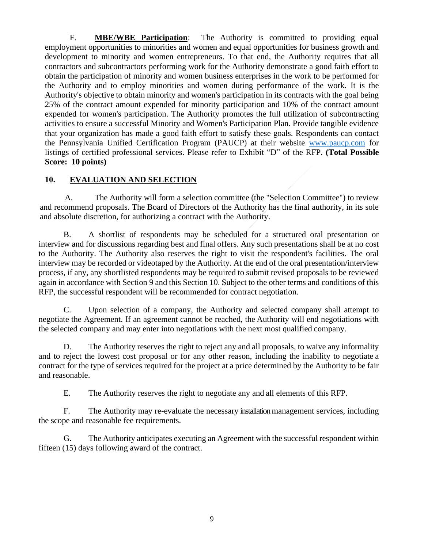F. **MBE/WBE Participation**: The Authority is committed to providing equal employment opportunities to minorities and women and equal opportunities for business growth and development to minority and women entrepreneurs. To that end, the Authority requires that all contractors and subcontractors performing work for the Authority demonstrate a good faith effort to obtain the participation of minority and women business enterprises in the work to be performed for the Authority and to employ minorities and women during performance of the work. It is the Authority's objective to obtain minority and women's participation in its contracts with the goal being 25% of the contract amount expended for minority participation and 10% of the contract amount expended for women's participation. The Authority promotes the full utilization of subcontracting activities to ensure a successful Minority and Women's Participation Plan. Provide tangible evidence that your organization has made a good faith effort to satisfy these goals. Respondents can contact the Pennsylvania Unified Certification Program (PAUCP) at their website [www.paucp.com](http://www.paucp.com/) for listings of certified professional services. Please refer to Exhibit "D" of the RFP. **(Total Possible Score: 10 points)** 

#### **10. EVALUATION AND SELECTION**

A. The Authority will form a selection committee (the "Selection Committee") to review and recommend proposals. The Board of Directors of the Authority has the final authority, in its sole and absolute discretion, for authorizing a contract with the Authority.

B. A shortlist of respondents may be scheduled for a structured oral presentation or interview and for discussions regarding best and final offers. Any such presentations shall be at no cost to the Authority. The Authority also reserves the right to visit the respondent's facilities. The oral interview may be recorded or videotaped by the Authority. At the end of the oral presentation/interview process, if any, any shortlisted respondents may be required to submit revised proposals to be reviewed again in accordance with Section 9 and this Section 10. Subject to the other terms and conditions of this RFP, the successful respondent will be recommended for contract negotiation.

C. Upon selection of a company, the Authority and selected company shall attempt to negotiate the Agreement. If an agreement cannot be reached, the Authority will end negotiations with the selected company and may enter into negotiations with the next most qualified company.

D. The Authority reserves the right to reject any and all proposals, to waive any informality and to reject the lowest cost proposal or for any other reason, including the inability to negotiate a contract for the type of services required for the project at a price determined by the Authority to be fair and reasonable.

E. The Authority reserves the right to negotiate any and all elements of this RFP.

F. The Authority may re-evaluate the necessary installation management services, including the scope and reasonable fee requirements.

G. The Authority anticipates executing an Agreement with the successful respondent within fifteen (15) days following award of the contract.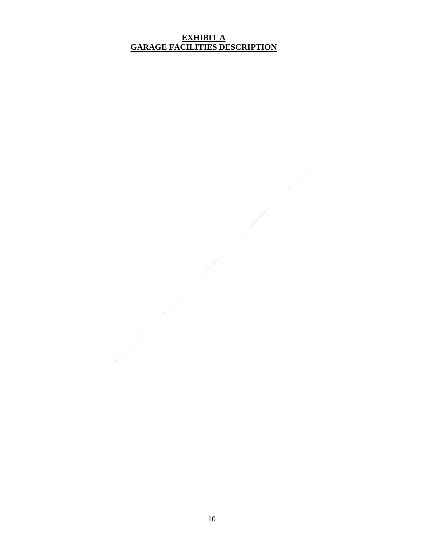#### **EXHIBIT A GARAGE FACILITIES DESCRIPTION**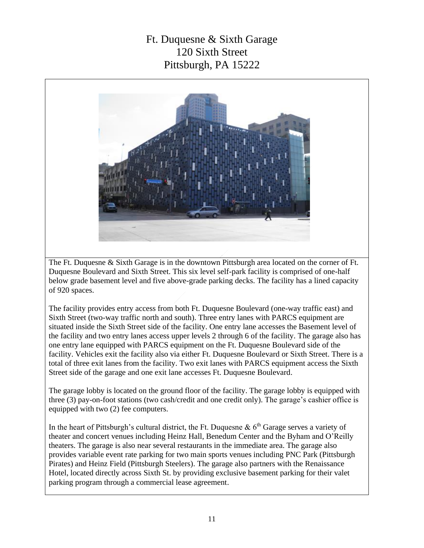# Ft. Duquesne & Sixth Garage 120 Sixth Street Pittsburgh, PA 15222



The Ft. Duquesne & Sixth Garage is in the downtown Pittsburgh area located on the corner of Ft. Duquesne Boulevard and Sixth Street. This six level self-park facility is comprised of one-half below grade basement level and five above-grade parking decks. The facility has a lined capacity of 920 spaces.

The facility provides entry access from both Ft. Duquesne Boulevard (one-way traffic east) and Sixth Street (two-way traffic north and south). Three entry lanes with PARCS equipment are situated inside the Sixth Street side of the facility. One entry lane accesses the Basement level of the facility and two entry lanes access upper levels 2 through 6 of the facility. The garage also has one entry lane equipped with PARCS equipment on the Ft. Duquesne Boulevard side of the facility. Vehicles exit the facility also via either Ft. Duquesne Boulevard or Sixth Street. There is a total of three exit lanes from the facility. Two exit lanes with PARCS equipment access the Sixth Street side of the garage and one exit lane accesses Ft. Duquesne Boulevard.

The garage lobby is located on the ground floor of the facility. The garage lobby is equipped with three (3) pay-on-foot stations (two cash/credit and one credit only). The garage's cashier office is equipped with two (2) fee computers.

In the heart of Pittsburgh's cultural district, the Ft. Duquesne &  $6<sup>th</sup>$  Garage serves a variety of theater and concert venues including Heinz Hall, Benedum Center and the Byham and O'Reilly theaters. The garage is also near several restaurants in the immediate area. The garage also provides variable event rate parking for two main sports venues including PNC Park (Pittsburgh Pirates) and Heinz Field (Pittsburgh Steelers). The garage also partners with the Renaissance Hotel, located directly across Sixth St. by providing exclusive basement parking for their valet parking program through a commercial lease agreement.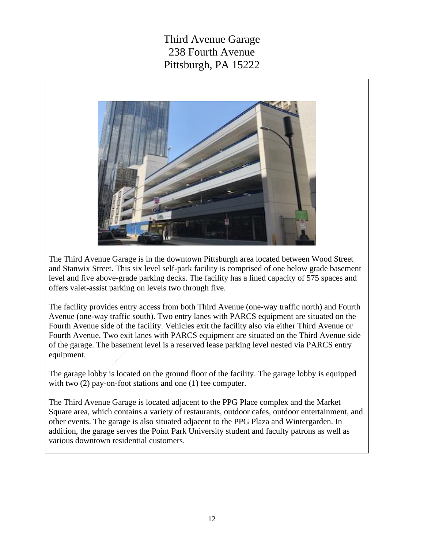Third Avenue Garage 238 Fourth Avenue Pittsburgh, PA 15222



The Third Avenue Garage is in the downtown Pittsburgh area located between Wood Street and Stanwix Street. This six level self-park facility is comprised of one below grade basement level and five above-grade parking decks. The facility has a lined capacity of 575 spaces and offers valet-assist parking on levels two through five.

The facility provides entry access from both Third Avenue (one-way traffic north) and Fourth Avenue (one-way traffic south). Two entry lanes with PARCS equipment are situated on the Fourth Avenue side of the facility. Vehicles exit the facility also via either Third Avenue or Fourth Avenue. Two exit lanes with PARCS equipment are situated on the Third Avenue side of the garage. The basement level is a reserved lease parking level nested via PARCS entry equipment.

The garage lobby is located on the ground floor of the facility. The garage lobby is equipped with two  $(2)$  pay-on-foot stations and one  $(1)$  fee computer.

The Third Avenue Garage is located adjacent to the PPG Place complex and the Market Square area, which contains a variety of restaurants, outdoor cafes, outdoor entertainment, and other events. The garage is also situated adjacent to the PPG Plaza and Wintergarden. In addition, the garage serves the Point Park University student and faculty patrons as well as various downtown residential customers.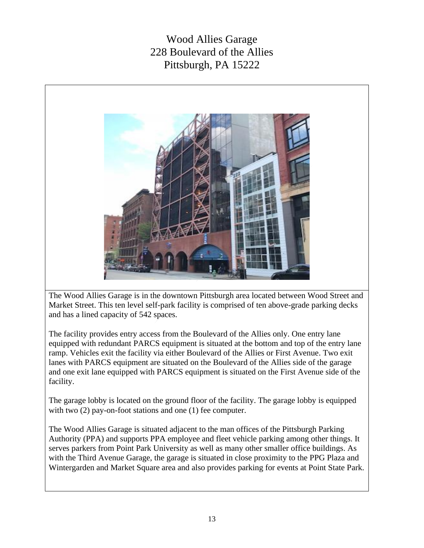Wood Allies Garage 228 Boulevard of the Allies Pittsburgh, PA 15222



The Wood Allies Garage is in the downtown Pittsburgh area located between Wood Street and Market Street. This ten level self-park facility is comprised of ten above-grade parking decks and has a lined capacity of 542 spaces.

The facility provides entry access from the Boulevard of the Allies only. One entry lane equipped with redundant PARCS equipment is situated at the bottom and top of the entry lane ramp. Vehicles exit the facility via either Boulevard of the Allies or First Avenue. Two exit lanes with PARCS equipment are situated on the Boulevard of the Allies side of the garage and one exit lane equipped with PARCS equipment is situated on the First Avenue side of the facility.

The garage lobby is located on the ground floor of the facility. The garage lobby is equipped with two  $(2)$  pay-on-foot stations and one  $(1)$  fee computer.

The Wood Allies Garage is situated adjacent to the man offices of the Pittsburgh Parking Authority (PPA) and supports PPA employee and fleet vehicle parking among other things. It serves parkers from Point Park University as well as many other smaller office buildings. As with the Third Avenue Garage, the garage is situated in close proximity to the PPG Plaza and Wintergarden and Market Square area and also provides parking for events at Point State Park.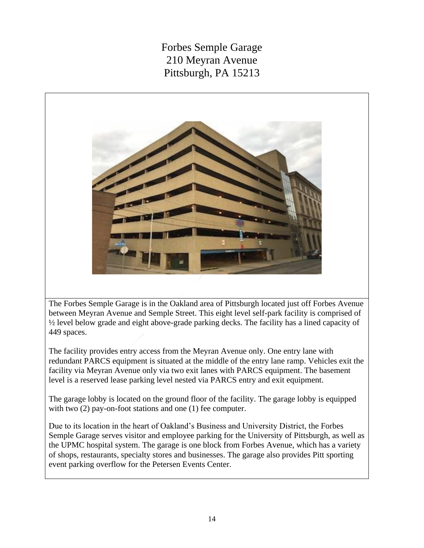Forbes Semple Garage 210 Meyran Avenue Pittsburgh, PA 15213



The Forbes Semple Garage is in the Oakland area of Pittsburgh located just off Forbes Avenue between Meyran Avenue and Semple Street. This eight level self-park facility is comprised of ½ level below grade and eight above-grade parking decks. The facility has a lined capacity of 449 spaces.

The facility provides entry access from the Meyran Avenue only. One entry lane with redundant PARCS equipment is situated at the middle of the entry lane ramp. Vehicles exit the facility via Meyran Avenue only via two exit lanes with PARCS equipment. The basement level is a reserved lease parking level nested via PARCS entry and exit equipment.

The garage lobby is located on the ground floor of the facility. The garage lobby is equipped with two  $(2)$  pay-on-foot stations and one  $(1)$  fee computer.

Due to its location in the heart of Oakland's Business and University District, the Forbes Semple Garage serves visitor and employee parking for the University of Pittsburgh, as well as the UPMC hospital system. The garage is one block from Forbes Avenue, which has a variety of shops, restaurants, specialty stores and businesses. The garage also provides Pitt sporting event parking overflow for the Petersen Events Center.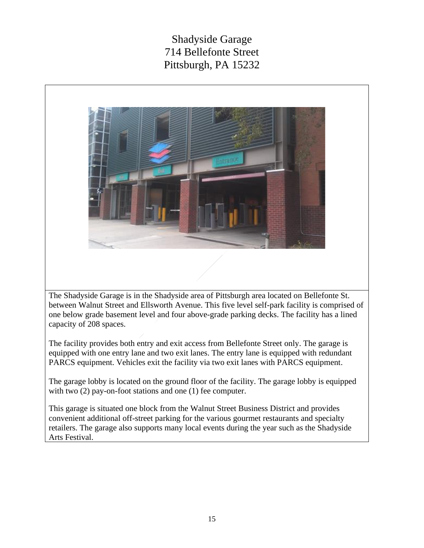# Shadyside Garage 714 Bellefonte Street Pittsburgh, PA 15232



The Shadyside Garage is in the Shadyside area of Pittsburgh area located on Bellefonte St. between Walnut Street and Ellsworth Avenue. This five level self-park facility is comprised of one below grade basement level and four above-grade parking decks. The facility has a lined capacity of 208 spaces.

The facility provides both entry and exit access from Bellefonte Street only. The garage is equipped with one entry lane and two exit lanes. The entry lane is equipped with redundant PARCS equipment. Vehicles exit the facility via two exit lanes with PARCS equipment.

The garage lobby is located on the ground floor of the facility. The garage lobby is equipped with two  $(2)$  pay-on-foot stations and one  $(1)$  fee computer.

This garage is situated one block from the Walnut Street Business District and provides convenient additional off-street parking for the various gourmet restaurants and specialty retailers. The garage also supports many local events during the year such as the Shadyside Arts Festival.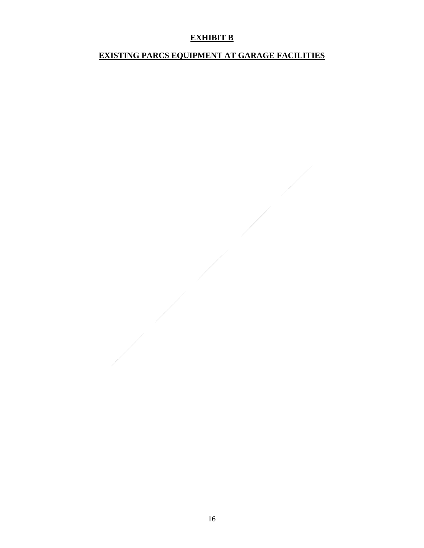## **EXHIBIT B**

## **EXISTING PARCS EQUIPMENT AT GARAGE FACILITIES**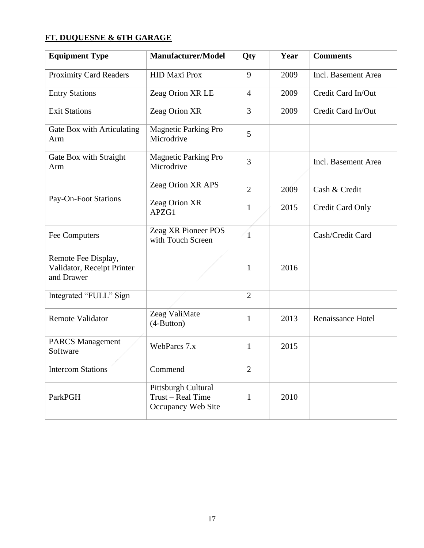# **FT. DUQUESNE & 6TH GARAGE**

| <b>Equipment Type</b>                                           | <b>Manufacturer/Model</b>                                      | Qty            | Year | <b>Comments</b>          |
|-----------------------------------------------------------------|----------------------------------------------------------------|----------------|------|--------------------------|
| <b>Proximity Card Readers</b>                                   | <b>HID Maxi Prox</b>                                           | 9              | 2009 | Incl. Basement Area      |
| <b>Entry Stations</b>                                           | Zeag Orion XR LE                                               | $\overline{4}$ | 2009 | Credit Card In/Out       |
| <b>Exit Stations</b>                                            | Zeag Orion XR                                                  | 3              | 2009 | Credit Card In/Out       |
| Gate Box with Articulating<br>Arm                               | <b>Magnetic Parking Pro</b><br>Microdrive                      | 5              |      |                          |
| Gate Box with Straight<br>Arm                                   | Magnetic Parking Pro<br>Microdrive                             | $\overline{3}$ |      | Incl. Basement Area      |
|                                                                 | Zeag Orion XR APS                                              | $\overline{2}$ | 2009 | Cash & Credit            |
| Pay-On-Foot Stations                                            | Zeag Orion XR<br>APZG1                                         | $\mathbf{1}$   | 2015 | Credit Card Only         |
| Fee Computers                                                   | Zeag XR Pioneer POS<br>with Touch Screen                       | $\overline{1}$ |      | Cash/Credit Card         |
| Remote Fee Display,<br>Validator, Receipt Printer<br>and Drawer |                                                                | $\mathbf{1}$   | 2016 |                          |
| Integrated "FULL" Sign                                          |                                                                | $\overline{2}$ |      |                          |
| <b>Remote Validator</b>                                         | Zeag ValiMate<br>$(4-Button)$                                  | $\mathbf{1}$   | 2013 | <b>Renaissance Hotel</b> |
| <b>PARCS Management</b><br>Software                             | WebParcs 7.x                                                   | $\mathbf{1}$   | 2015 |                          |
| <b>Intercom Stations</b>                                        | Commend                                                        | $\overline{2}$ |      |                          |
| ParkPGH                                                         | Pittsburgh Cultural<br>Trust - Real Time<br>Occupancy Web Site | $\mathbf{1}$   | 2010 |                          |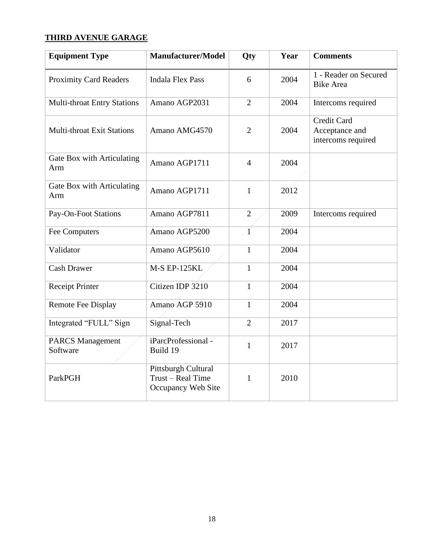# **THIRD AVENUE GARAGE**

| <b>Equipment Type</b>               | <b>Manufacturer/Model</b>                                      | Qty            | Year | <b>Comments</b>                                            |  |
|-------------------------------------|----------------------------------------------------------------|----------------|------|------------------------------------------------------------|--|
| <b>Proximity Card Readers</b>       | <b>Indala Flex Pass</b>                                        | 6              | 2004 | 1 - Reader on Secured<br><b>Bike Area</b>                  |  |
| <b>Multi-throat Entry Stations</b>  | Amano AGP2031                                                  | $\overline{2}$ | 2004 | Intercoms required                                         |  |
| <b>Multi-throat Exit Stations</b>   | Amano AMG4570                                                  | $\overline{2}$ | 2004 | <b>Credit Card</b><br>Acceptance and<br>intercoms required |  |
| Gate Box with Articulating<br>Arm   | Amano AGP1711                                                  | $\overline{4}$ | 2004 |                                                            |  |
| Gate Box with Articulating<br>Arm   | Amano AGP1711                                                  | $\mathbf{1}$   | 2012 |                                                            |  |
| <b>Pay-On-Foot Stations</b>         | Amano AGP7811                                                  | $\overline{2}$ | 2009 | Intercoms required                                         |  |
| <b>Fee Computers</b>                | Amano AGP5200                                                  | $\overline{1}$ | 2004 |                                                            |  |
| Validator                           | Amano AGP5610                                                  | $\mathbf{1}$   | 2004 |                                                            |  |
| <b>Cash Drawer</b>                  | <b>M-S EP-125KL</b>                                            | $\mathbf{1}$   | 2004 |                                                            |  |
| <b>Receipt Printer</b>              | Citizen IDP 3210                                               | $\mathbf{1}$   | 2004 |                                                            |  |
| <b>Remote Fee Display</b>           | Amano AGP 5910                                                 | $\mathbf{1}$   | 2004 |                                                            |  |
| Integrated "FULL" Sign              | Signal-Tech                                                    | $\overline{2}$ | 2017 |                                                            |  |
| <b>PARCS Management</b><br>Software | iParcProfessional -<br>Build 19                                | $\mathbf{1}$   | 2017 |                                                            |  |
| ParkPGH                             | Pittsburgh Cultural<br>Trust - Real Time<br>Occupancy Web Site | 1              | 2010 |                                                            |  |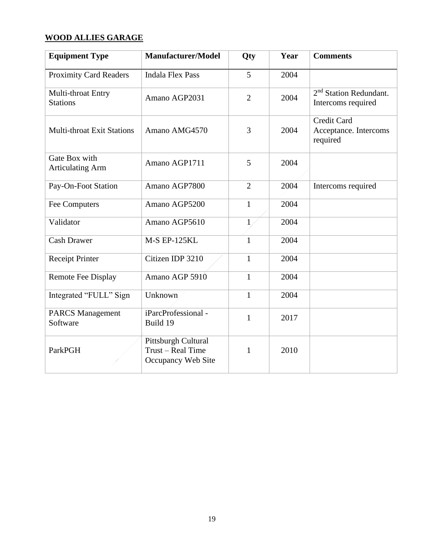# **WOOD ALLIES GARAGE**

| <b>Equipment Type</b>                                                     | <b>Manufacturer/Model</b>       | <b>Qty</b>     | Year | <b>Comments</b>                                         |
|---------------------------------------------------------------------------|---------------------------------|----------------|------|---------------------------------------------------------|
| <b>Proximity Card Readers</b>                                             | <b>Indala Flex Pass</b>         | 5              | 2004 |                                                         |
| Multi-throat Entry<br><b>Stations</b>                                     | Amano AGP2031                   | $\overline{2}$ | 2004 | $2nd$ Station Redundant.<br>Intercoms required          |
| <b>Multi-throat Exit Stations</b>                                         | Amano AMG4570                   | 3              | 2004 | <b>Credit Card</b><br>Acceptance. Intercoms<br>required |
| Gate Box with<br><b>Articulating Arm</b>                                  | Amano AGP1711                   | 5              | 2004 |                                                         |
| Pay-On-Foot Station                                                       | Amano AGP7800                   | $\overline{2}$ | 2004 | Intercoms required                                      |
| Fee Computers                                                             | Amano AGP5200                   | 1              | 2004 |                                                         |
| Validator                                                                 | Amano AGP5610                   | 1              | 2004 |                                                         |
| <b>Cash Drawer</b>                                                        | <b>M-S EP-125KL</b>             | $\mathbf{1}$   | 2004 |                                                         |
| <b>Receipt Printer</b>                                                    | Citizen IDP 3210                | $\mathbf{1}$   | 2004 |                                                         |
| Remote Fee Display                                                        | Amano AGP 5910                  | $\mathbf{1}$   | 2004 |                                                         |
| Integrated "FULL" Sign                                                    | Unknown                         | $\mathbf{1}$   | 2004 |                                                         |
| <b>PARCS Management</b><br>Software                                       | iParcProfessional -<br>Build 19 | 1              | 2017 |                                                         |
| Pittsburgh Cultural<br>Trust – Real Time<br>ParkPGH<br>Occupancy Web Site |                                 | 1              | 2010 |                                                         |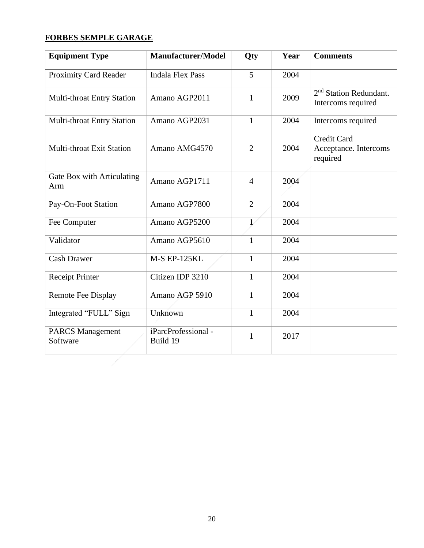# **FORBES SEMPLE GARAGE**

| <b>Equipment Type</b>               | <b>Manufacturer/Model</b>               | <b>Qty</b>     | Year | <b>Comments</b>                                          |
|-------------------------------------|-----------------------------------------|----------------|------|----------------------------------------------------------|
| <b>Proximity Card Reader</b>        | <b>Indala Flex Pass</b>                 | 5              | 2004 |                                                          |
| <b>Multi-throat Entry Station</b>   | Amano AGP2011                           | $\mathbf{1}$   | 2009 | 2 <sup>nd</sup> Station Redundant.<br>Intercoms required |
| <b>Multi-throat Entry Station</b>   | Amano AGP2031                           | $\mathbf{1}$   | 2004 | Intercoms required                                       |
| <b>Multi-throat Exit Station</b>    | 2004<br>Amano AMG4570<br>$\overline{2}$ |                |      | Credit Card<br>Acceptance. Intercoms<br>required         |
| Gate Box with Articulating<br>Arm   | Amano AGP1711                           | $\overline{4}$ | 2004 |                                                          |
| Pay-On-Foot Station                 | Amano AGP7800                           | $\overline{2}$ | 2004 |                                                          |
| Fee Computer                        | Amano AGP5200                           | $\mathbf{1}$   | 2004 |                                                          |
| Validator                           | Amano AGP5610                           | 1              | 2004 |                                                          |
| <b>Cash Drawer</b>                  | <b>M-S EP-125KL</b>                     | $\mathbf{1}$   | 2004 |                                                          |
| Receipt Printer                     | Citizen IDP 3210                        | $\mathbf{1}$   | 2004 |                                                          |
| <b>Remote Fee Display</b>           | Amano AGP 5910                          | $\mathbf{1}$   | 2004 |                                                          |
| Integrated "FULL" Sign              | Unknown                                 | $\mathbf{1}$   | 2004 |                                                          |
| <b>PARCS Management</b><br>Software | iParcProfessional -<br>Build 19         | 1              | 2017 |                                                          |
|                                     |                                         |                |      |                                                          |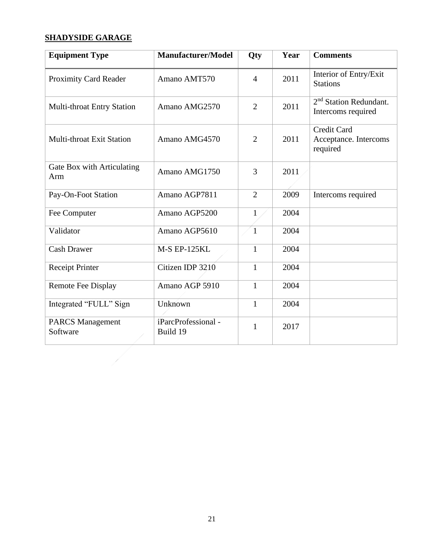## **SHADYSIDE GARAGE**

7

| <b>Equipment Type</b>               | <b>Manufacturer/Model</b>       | Qty            | Year | <b>Comments</b>                                          |
|-------------------------------------|---------------------------------|----------------|------|----------------------------------------------------------|
| <b>Proximity Card Reader</b>        | Amano AMT570                    | $\overline{4}$ | 2011 | Interior of Entry/Exit<br><b>Stations</b>                |
| Multi-throat Entry Station          | Amano AMG2570                   | $\overline{2}$ | 2011 | 2 <sup>nd</sup> Station Redundant.<br>Intercoms required |
| <b>Multi-throat Exit Station</b>    | Amano AMG4570                   | $\overline{2}$ | 2011 | <b>Credit Card</b><br>Acceptance. Intercoms<br>required  |
| Gate Box with Articulating<br>Arm   | Amano AMG1750                   | 3              | 2011 |                                                          |
| Pay-On-Foot Station                 | Amano AGP7811                   | $\overline{2}$ | 2009 | Intercoms required                                       |
| Fee Computer                        | Amano AGP5200                   | $\mathbf{1}$   | 2004 |                                                          |
| Validator                           | Amano AGP5610                   | $\mathbf{1}$   | 2004 |                                                          |
| <b>Cash Drawer</b>                  | <b>M-S EP-125KL</b>             | $\mathbf{1}$   | 2004 |                                                          |
| <b>Receipt Printer</b>              | Citizen IDP 3210                | $\mathbf{1}$   | 2004 |                                                          |
| <b>Remote Fee Display</b>           | Amano AGP 5910                  | $\mathbf{1}$   | 2004 |                                                          |
| Integrated "FULL" Sign              | Unknown                         | $\mathbf{1}$   | 2004 |                                                          |
| <b>PARCS Management</b><br>Software | iParcProfessional -<br>Build 19 | $\mathbf{1}$   | 2017 |                                                          |
|                                     |                                 |                |      |                                                          |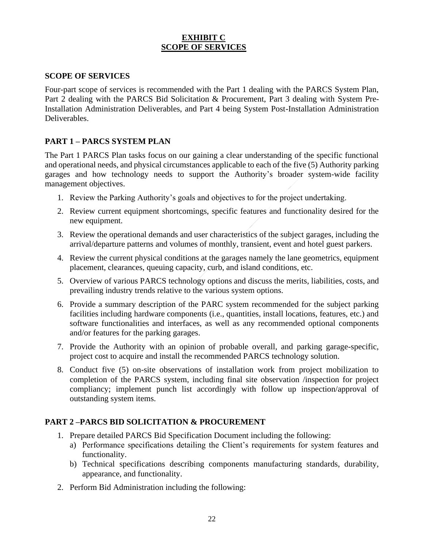#### **EXHIBIT C SCOPE OF SERVICES**

#### **SCOPE OF SERVICES**

Four-part scope of services is recommended with the Part 1 dealing with the PARCS System Plan, Part 2 dealing with the PARCS Bid Solicitation & Procurement, Part 3 dealing with System Pre-Installation Administration Deliverables, and Part 4 being System Post-Installation Administration Deliverables.

#### **PART 1 – PARCS SYSTEM PLAN**

The Part 1 PARCS Plan tasks focus on our gaining a clear understanding of the specific functional and operational needs, and physical circumstances applicable to each of the five (5) Authority parking garages and how technology needs to support the Authority's broader system-wide facility management objectives.

- 1. Review the Parking Authority's goals and objectives to for the project undertaking.
- 2. Review current equipment shortcomings, specific features and functionality desired for the new equipment.
- 3. Review the operational demands and user characteristics of the subject garages, including the arrival/departure patterns and volumes of monthly, transient, event and hotel guest parkers.
- 4. Review the current physical conditions at the garages namely the lane geometrics, equipment placement, clearances, queuing capacity, curb, and island conditions, etc.
- 5. Overview of various PARCS technology options and discuss the merits, liabilities, costs, and prevailing industry trends relative to the various system options.
- 6. Provide a summary description of the PARC system recommended for the subject parking facilities including hardware components (i.e., quantities, install locations, features, etc.) and software functionalities and interfaces, as well as any recommended optional components and/or features for the parking garages.
- 7. Provide the Authority with an opinion of probable overall, and parking garage-specific, project cost to acquire and install the recommended PARCS technology solution.
- 8. Conduct five (5) on-site observations of installation work from project mobilization to completion of the PARCS system, including final site observation /inspection for project compliancy; implement punch list accordingly with follow up inspection/approval of outstanding system items.

#### **PART 2 –PARCS BID SOLICITATION & PROCUREMENT**

- 1. Prepare detailed PARCS Bid Specification Document including the following:
	- a) Performance specifications detailing the Client's requirements for system features and functionality.
	- b) Technical specifications describing components manufacturing standards, durability, appearance, and functionality.
- 2. Perform Bid Administration including the following: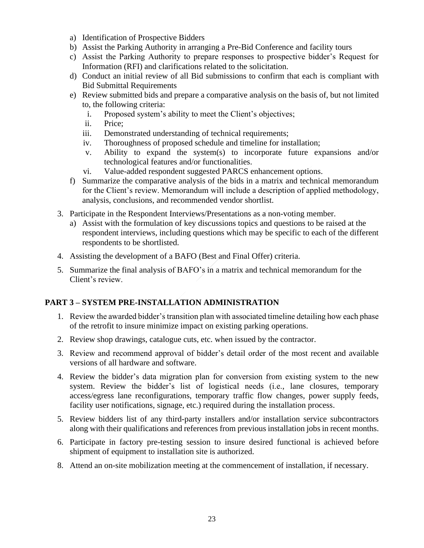- a) Identification of Prospective Bidders
- b) Assist the Parking Authority in arranging a Pre-Bid Conference and facility tours
- c) Assist the Parking Authority to prepare responses to prospective bidder's Request for Information (RFI) and clarifications related to the solicitation.
- d) Conduct an initial review of all Bid submissions to confirm that each is compliant with Bid Submittal Requirements
- e) Review submitted bids and prepare a comparative analysis on the basis of, but not limited to, the following criteria:
	- i. Proposed system's ability to meet the Client's objectives;
	- ii. Price;
	- iii. Demonstrated understanding of technical requirements;
	- iv. Thoroughness of proposed schedule and timeline for installation;
	- v. Ability to expand the system(s) to incorporate future expansions and/or technological features and/or functionalities.
	- vi. Value-added respondent suggested PARCS enhancement options.
- f) Summarize the comparative analysis of the bids in a matrix and technical memorandum for the Client's review. Memorandum will include a description of applied methodology, analysis, conclusions, and recommended vendor shortlist.
- 3. Participate in the Respondent Interviews/Presentations as a non-voting member.
	- a) Assist with the formulation of key discussions topics and questions to be raised at the respondent interviews, including questions which may be specific to each of the different respondents to be shortlisted.
- 4. Assisting the development of a BAFO (Best and Final Offer) criteria.
- 5. Summarize the final analysis of BAFO's in a matrix and technical memorandum for the Client's review.

#### **PART 3 – SYSTEM PRE-INSTALLATION ADMINISTRATION**

- 1. Review the awarded bidder's transition plan with associated timeline detailing how each phase of the retrofit to insure minimize impact on existing parking operations.
- 2. Review shop drawings, catalogue cuts, etc. when issued by the contractor.
- 3. Review and recommend approval of bidder's detail order of the most recent and available versions of all hardware and software.
- 4. Review the bidder's data migration plan for conversion from existing system to the new system. Review the bidder's list of logistical needs (i.e., lane closures, temporary access/egress lane reconfigurations, temporary traffic flow changes, power supply feeds, facility user notifications, signage, etc.) required during the installation process.
- 5. Review bidders list of any third-party installers and/or installation service subcontractors along with their qualifications and references from previous installation jobs in recent months.
- 6. Participate in factory pre-testing session to insure desired functional is achieved before shipment of equipment to installation site is authorized.
- 8. Attend an on-site mobilization meeting at the commencement of installation, if necessary.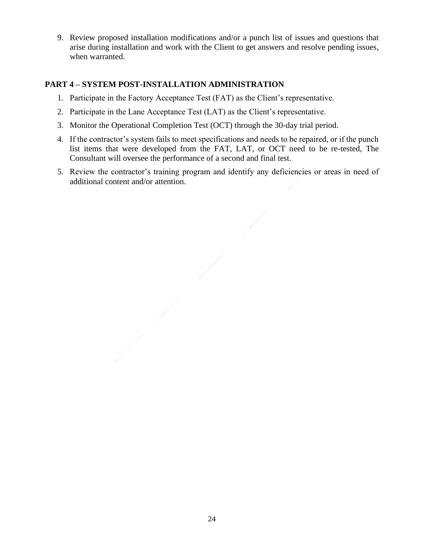9. Review proposed installation modifications and/or a punch list of issues and questions that arise during installation and work with the Client to get answers and resolve pending issues, when warranted.

#### **PART 4 – SYSTEM POST-INSTALLATION ADMINISTRATION**

- 1. Participate in the Factory Acceptance Test (FAT) as the Client's representative.
- 2. Participate in the Lane Acceptance Test (LAT) as the Client's representative.
- 3. Monitor the Operational Completion Test (OCT) through the 30-day trial period.
- 4. If the contractor's system fails to meet specifications and needs to be repaired, or if the punch list items that were developed from the FAT, LAT, or OCT need to be re-tested, The Consultant will oversee the performance of a second and final test.
- 5. Review the contractor's training program and identify any deficiencies or areas in need of additional content and/or attention.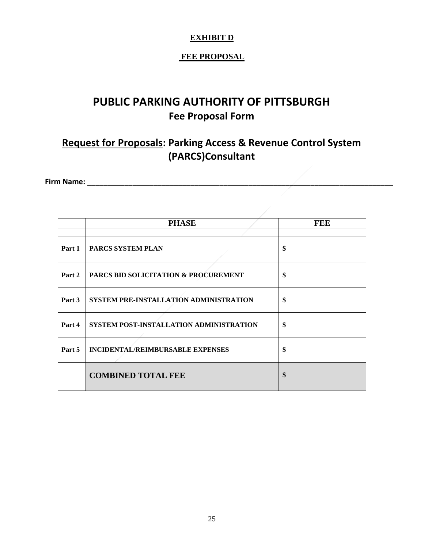# **EXHIBIT D**

## **FEE PROPOSAL**

# **PUBLIC PARKING AUTHORITY OF PITTSBURGH Fee Proposal Form**

# **Request for Proposals: Parking Access & Revenue Control System (PARCS)Consultant**

**Firm Name: \_\_\_\_\_\_\_\_\_\_\_\_\_\_\_\_\_\_\_\_\_\_\_\_\_\_\_\_\_\_\_\_\_\_\_\_\_\_\_\_\_\_\_\_\_\_\_\_\_\_\_\_\_\_\_\_\_\_\_\_\_\_\_\_\_\_\_\_\_\_\_\_\_\_**

|        | <b>PHASE</b>                            | <b>FEE</b> |
|--------|-----------------------------------------|------------|
|        |                                         |            |
| Part 1 | <b>PARCS SYSTEM PLAN</b>                | \$         |
| Part 2 | PARCS BID SOLICITATION & PROCUREMENT    | \$         |
| Part 3 | SYSTEM PRE-INSTALLATION ADMINISTRATION  | \$         |
| Part 4 | SYSTEM POST-INSTALLATION ADMINISTRATION | \$         |
| Part 5 | INCIDENTAL/REIMBURSABLE EXPENSES        | \$         |
|        | <b>COMBINED TOTAL FEE</b>               | \$         |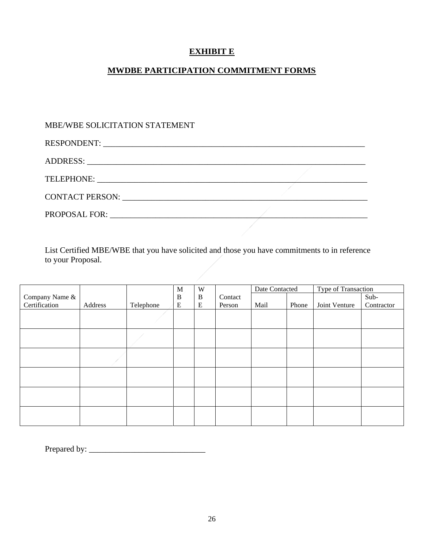## **EXHIBIT E**

## **MWDBE PARTICIPATION COMMITMENT FORMS**

## MBE/WBE SOLICITATION STATEMENT

| TELEPHONE: University of the contract of the contract of the contract of the contract of the contract of the contract of the contract of the contract of the contract of the contract of the contract of the contract of the c |  |
|--------------------------------------------------------------------------------------------------------------------------------------------------------------------------------------------------------------------------------|--|
|                                                                                                                                                                                                                                |  |
|                                                                                                                                                                                                                                |  |

List Certified MBE/WBE that you have solicited and those you have commitments to in reference to your Proposal.

|                |         |           | M         | W         |         | Date Contacted |       | Type of Transaction |            |
|----------------|---------|-----------|-----------|-----------|---------|----------------|-------|---------------------|------------|
| Company Name & |         |           | $\bf{B}$  | $\bf{B}$  | Contact |                |       |                     | Sub-       |
| Certification  | Address | Telephone | ${\bf E}$ | ${\bf E}$ | Person  | Mail           | Phone | Joint Venture       | Contractor |
|                |         |           |           |           |         |                |       |                     |            |
|                |         |           |           |           |         |                |       |                     |            |
|                |         |           |           |           |         |                |       |                     |            |
|                |         |           |           |           |         |                |       |                     |            |
|                |         |           |           |           |         |                |       |                     |            |
|                |         |           |           |           |         |                |       |                     |            |
|                |         |           |           |           |         |                |       |                     |            |
|                |         |           |           |           |         |                |       |                     |            |
|                |         |           |           |           |         |                |       |                     |            |
|                |         |           |           |           |         |                |       |                     |            |

Prepared by: \_\_\_\_\_\_\_\_\_\_\_\_\_\_\_\_\_\_\_\_\_\_\_\_\_\_\_\_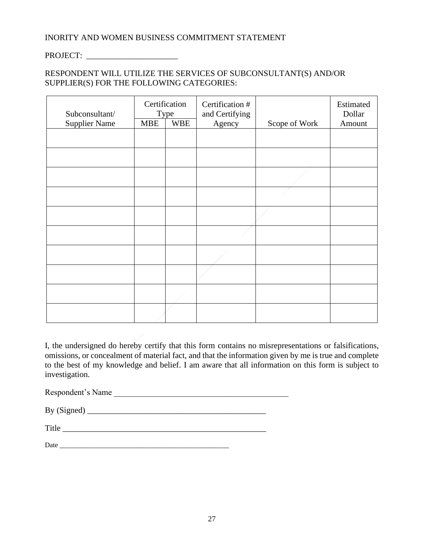#### INORITY AND WOMEN BUSINESS COMMITMENT STATEMENT

## PROJECT:

#### RESPONDENT WILL UTILIZE THE SERVICES OF SUBCONSULTANT(S) AND/OR SUPPLIER(S) FOR THE FOLLOWING CATEGORIES:

| Certification<br>Subconsultant/<br>Type |            |            | Certification #<br>and Certifying |               | Estimated<br>Dollar |
|-----------------------------------------|------------|------------|-----------------------------------|---------------|---------------------|
| <b>Supplier Name</b>                    | <b>MBE</b> | <b>WBE</b> | Agency                            | Scope of Work | Amount              |
|                                         |            |            |                                   |               |                     |
|                                         |            |            |                                   |               |                     |
|                                         |            |            |                                   |               |                     |
|                                         |            |            |                                   |               |                     |
|                                         |            |            |                                   |               |                     |
|                                         |            |            |                                   |               |                     |
|                                         |            |            |                                   |               |                     |
|                                         |            |            |                                   |               |                     |
|                                         |            |            |                                   |               |                     |
|                                         |            |            |                                   |               |                     |

I, the undersigned do hereby certify that this form contains no misrepresentations or falsifications, omissions, or concealment of material fact, and that the information given by me is true and complete to the best of my knowledge and belief. I am aware that all information on this form is subject to investigation.

Respondent's Name

By (Signed) \_\_\_\_\_\_\_\_\_\_\_\_\_\_\_\_\_\_\_\_\_\_\_\_\_\_\_\_\_\_\_\_\_\_\_\_\_\_\_\_\_\_\_

| mu a<br><b>TILLA</b> |  |  |
|----------------------|--|--|
|                      |  |  |

| D<br>Date |  |  |
|-----------|--|--|
|           |  |  |